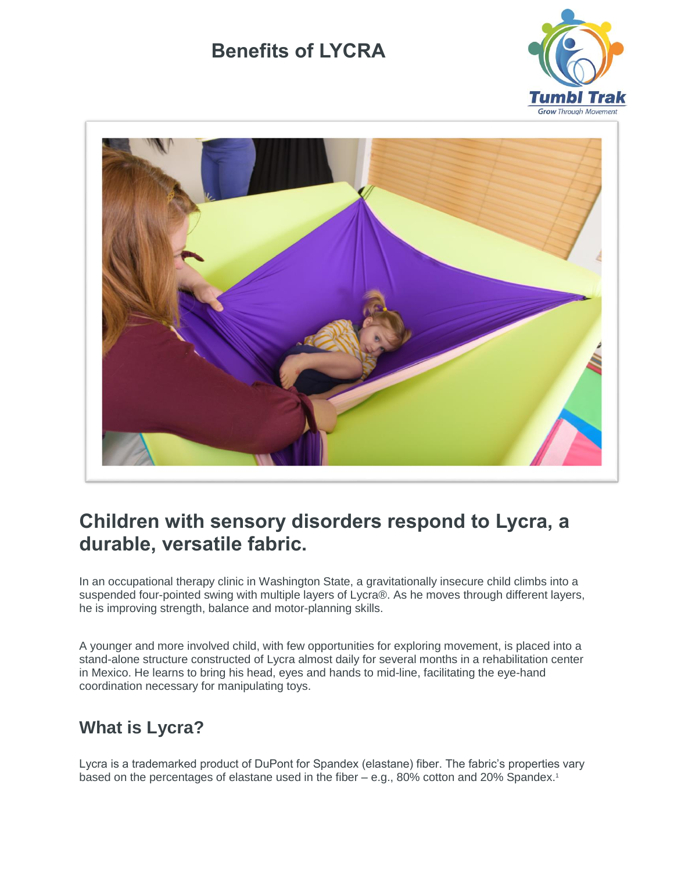



## **Children with sensory disorders respond to Lycra, a durable, versatile fabric.**

In an occupational therapy clinic in Washington State, a gravitationally insecure child climbs into a suspended four-pointed swing with multiple layers of Lycra®. As he moves through different layers, he is improving strength, balance and motor-planning skills.

A younger and more involved child, with few opportunities for exploring movement, is placed into a stand-alone structure constructed of Lycra almost daily for several months in a rehabilitation center in Mexico. He learns to bring his head, eyes and hands to mid-line, facilitating the eye-hand coordination necessary for manipulating toys.

## **What is Lycra?**

Lycra is a trademarked product of DuPont for Spandex (elastane) fiber. The fabric's properties vary based on the percentages of elastane used in the fiber – e.g., 80% cotton and 20% Spandex.<sup>1</sup>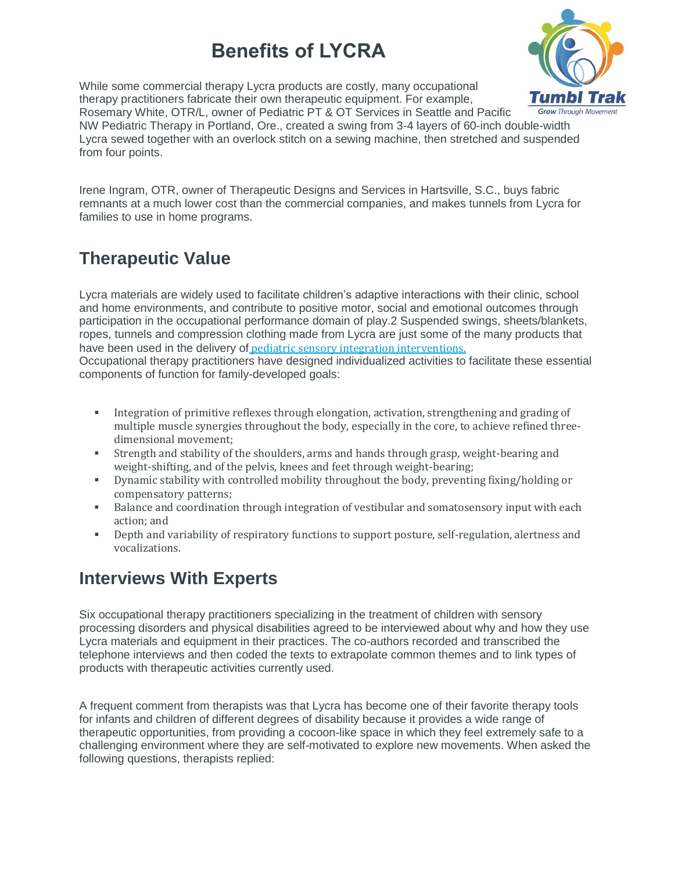While some commercial therapy Lycra products are costly, many occupational therapy practitioners fabricate their own therapeutic equipment. For example, Rosemary White, OTR/L, owner of Pediatric PT & OT Services in Seattle and Pacific NW Pediatric Therapy in Portland, Ore., created a swing from 3-4 layers of 60-inch double-width Lycra sewed together with an overlock stitch on a sewing machine, then stretched and suspended from four points.

Irene Ingram, OTR, owner of Therapeutic Designs and Services in Hartsville, S.C., buys fabric remnants at a much lower cost than the commercial companies, and makes tunnels from Lycra for families to use in home programs.

## **Therapeutic Value**

Lycra materials are widely used to facilitate children's adaptive interactions with their clinic, school and home environments, and contribute to positive motor, social and emotional outcomes through participation in the occupational performance domain of play.2 Suspended swings, sheets/blankets, ropes, tunnels and compression clothing made from Lycra are just some of the many products that have been used in the delivery of pediatric sensory integration [interventions.](http://occupational-therapy.advanceweb.com/Features/Articles/The-Sixth-Sense.aspx) Occupational therapy practitioners have designed individualized activities to facilitate these essential

components of function for family-developed goals:

- Integration of primitive reflexes through elongation, activation, strengthening and grading of multiple muscle synergies throughout the body, especially in the core, to achieve refined threedimensional movement;
- Strength and stability of the shoulders, arms and hands through grasp, weight-bearing and weight-shifting, and of the pelvis, knees and feet through weight-bearing;
- Dynamic stability with controlled mobility throughout the body, preventing fixing/holding or compensatory patterns;
- Balance and coordination through integration of vestibular and somatosensory input with each action; and
- **•** Depth and variability of respiratory functions to support posture, self-regulation, alertness and vocalizations.

### **Interviews With Experts**

Six occupational therapy practitioners specializing in the treatment of children with sensory processing disorders and physical disabilities agreed to be interviewed about why and how they use Lycra materials and equipment in their practices. The co-authors recorded and transcribed the telephone interviews and then coded the texts to extrapolate common themes and to link types of products with therapeutic activities currently used.

A frequent comment from therapists was that Lycra has become one of their favorite therapy tools for infants and children of different degrees of disability because it provides a wide range of therapeutic opportunities, from providing a cocoon-like space in which they feel extremely safe to a challenging environment where they are self-motivated to explore new movements. When asked the following questions, therapists replied:

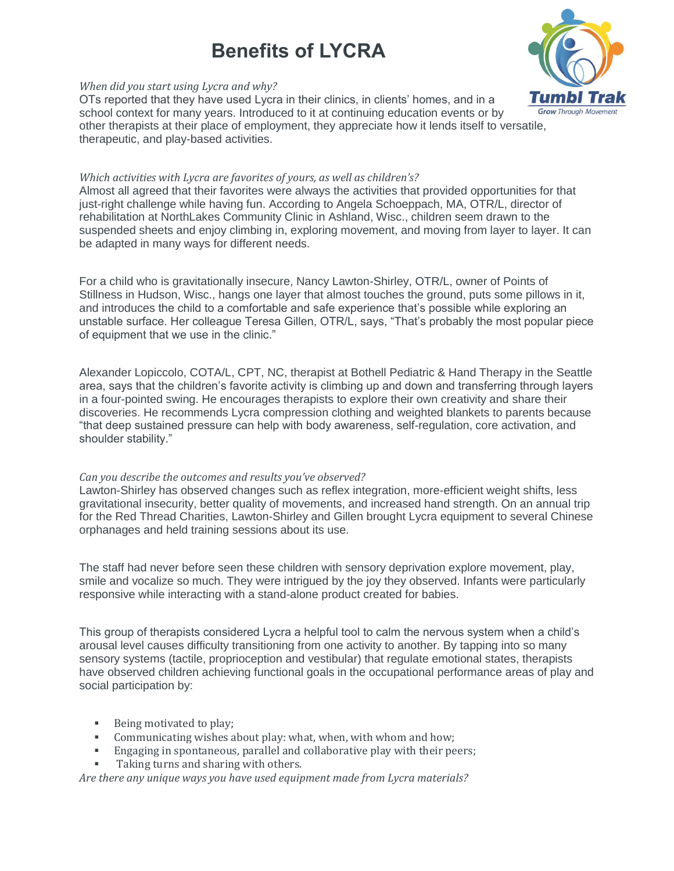

#### *When did you start using Lycra and why?*

OTs reported that they have used Lycra in their clinics, in clients' homes, and in a school context for many years. Introduced to it at continuing education events or by other therapists at their place of employment, they appreciate how it lends itself to versatile, therapeutic, and play-based activities.

#### *Which activities with Lycra are favorites of yours, as well as children's?*

Almost all agreed that their favorites were always the activities that provided opportunities for that just-right challenge while having fun. According to Angela Schoeppach, MA, OTR/L, director of rehabilitation at NorthLakes Community Clinic in Ashland, Wisc., children seem drawn to the suspended sheets and enjoy climbing in, exploring movement, and moving from layer to layer. It can be adapted in many ways for different needs.

For a child who is gravitationally insecure, Nancy Lawton-Shirley, OTR/L, owner of Points of Stillness in Hudson, Wisc., hangs one layer that almost touches the ground, puts some pillows in it, and introduces the child to a comfortable and safe experience that's possible while exploring an unstable surface. Her colleague Teresa Gillen, OTR/L, says, "That's probably the most popular piece of equipment that we use in the clinic."

Alexander Lopiccolo, COTA/L, CPT, NC, therapist at Bothell Pediatric & Hand Therapy in the Seattle area, says that the children's favorite activity is climbing up and down and transferring through layers in a four-pointed swing. He encourages therapists to explore their own creativity and share their discoveries. He recommends Lycra compression clothing and weighted blankets to parents because "that deep sustained pressure can help with body awareness, self-regulation, core activation, and shoulder stability."

#### *Can you describe the outcomes and results you've observed?*

Lawton-Shirley has observed changes such as reflex integration, more-efficient weight shifts, less gravitational insecurity, better quality of movements, and increased hand strength. On an annual trip for the Red Thread Charities, Lawton-Shirley and Gillen brought Lycra equipment to several Chinese orphanages and held training sessions about its use.

The staff had never before seen these children with sensory deprivation explore movement, play, smile and vocalize so much. They were intrigued by the joy they observed. Infants were particularly responsive while interacting with a stand-alone product created for babies.

This group of therapists considered Lycra a helpful tool to calm the nervous system when a child's arousal level causes difficulty transitioning from one activity to another. By tapping into so many sensory systems (tactile, proprioception and vestibular) that regulate emotional states, therapists have observed children achieving functional goals in the occupational performance areas of play and social participation by:

- Being motivated to play;
- Communicating wishes about play: what, when, with whom and how;
- **Engaging in spontaneous, parallel and collaborative play with their peers;**
- Taking turns and sharing with others.

*Are there any unique ways you have used equipment made from Lycra materials?*